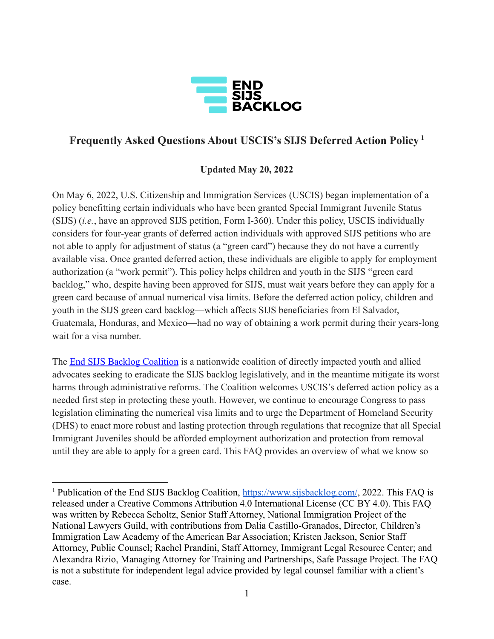

## **Frequently Asked Questions About USCIS's SIJS Deferred Action Policy 1**

#### **Updated May 20, 2022**

On May 6, 2022, U.S. Citizenship and Immigration Services (USCIS) began implementation of a policy benefitting certain individuals who have been granted Special Immigrant Juvenile Status (SIJS) (*i.e.*, have an approved SIJS petition, Form I-360). Under this policy, USCIS individually considers for four-year grants of deferred action individuals with approved SIJS petitions who are not able to apply for adjustment of status (a "green card") because they do not have a currently available visa. Once granted deferred action, these individuals are eligible to apply for employment authorization (a "work permit"). This policy helps children and youth in the SIJS "green card backlog," who, despite having been approved for SIJS, must wait years before they can apply for a green card because of annual numerical visa limits. Before the deferred action policy, children and youth in the SIJS green card backlog—which affects SIJS beneficiaries from El Salvador, Guatemala, Honduras, and Mexico—had no way of obtaining a work permit during their years-long wait for a visa number.

The [End SIJS Backlog Coalition](https://www.sijsbacklog.com/) is a nationwide coalition of directly impacted youth and allied advocates seeking to eradicate the SIJS backlog legislatively, and in the meantime mitigate its worst harms through administrative reforms. The Coalition welcomes USCIS's deferred action policy as a needed first step in protecting these youth. However, we continue to encourage Congress to pass legislation eliminating the numerical visa limits and to urge the Department of Homeland Security (DHS) to enact more robust and lasting protection through regulations that recognize that all Special Immigrant Juveniles should be afforded employment authorization and protection from removal until they are able to apply for a green card. This FAQ provides an overview of what we know so

<sup>&</sup>lt;sup>1</sup> Publication of the End SIJS Backlog Coalition, <https://www.sijsbacklog.com/>, 2022. This FAQ is released under a Creative Commons Attribution 4.0 International License (CC BY 4.0). This FAQ was written by Rebecca Scholtz, Senior Staff Attorney, National Immigration Project of the National Lawyers Guild, with contributions from Dalia Castillo-Granados, Director, Children's Immigration Law Academy of the American Bar Association; Kristen Jackson, Senior Staff Attorney, Public Counsel; Rachel Prandini, Staff Attorney, Immigrant Legal Resource Center; and Alexandra Rizio, Managing Attorney for Training and Partnerships, Safe Passage Project. The FAQ is not a substitute for independent legal advice provided by legal counsel familiar with a client's case.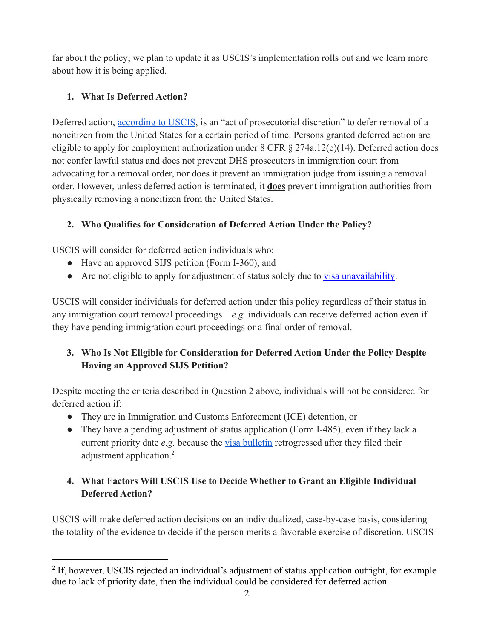far about the policy; we plan to update it as USCIS's implementation rolls out and we learn more about how it is being applied.

### **1. What Is Deferred Action?**

Deferred action, [according to USCIS](https://www.uscis.gov/policy-manual/volume-6-part-j-chapter-4), is an "act of prosecutorial discretion" to defer removal of a noncitizen from the United States for a certain period of time. Persons granted deferred action are eligible to apply for employment authorization under  $8$  CFR  $\S$  274a.12(c)(14). Deferred action does not confer lawful status and does not prevent DHS prosecutors in immigration court from advocating for a removal order, nor does it prevent an immigration judge from issuing a removal order. However, unless deferred action is terminated, it **does** prevent immigration authorities from physically removing a noncitizen from the United States.

# **2. Who Qualifies for Consideration of Deferred Action Under the Policy?**

USCIS will consider for deferred action individuals who:

- Have an approved SIJS petition (Form I-360), and
- Are not eligible to apply for adjustment of status solely due to [visa unavailability.](https://travel.state.gov/content/travel/en/legal/visa-law0/visa-bulletin.html)

USCIS will consider individuals for deferred action under this policy regardless of their status in any immigration court removal proceedings—*e.g.* individuals can receive deferred action even if they have pending immigration court proceedings or a final order of removal.

# **3. Who Is Not Eligible for Consideration for Deferred Action Under the Policy Despite Having an Approved SIJS Petition?**

Despite meeting the criteria described in Question 2 above, individuals will not be considered for deferred action if:

- They are in Immigration and Customs Enforcement (ICE) detention, or
- They have a pending adjustment of status application (Form I-485), even if they lack a current priority date *e.g.* because the [visa bulletin](https://travel.state.gov/content/travel/en/legal/visa-law0/visa-bulletin.html) retrogressed after they filed their adjustment application.<sup>2</sup>

## **4. What Factors Will USCIS Use to Decide Whether to Grant an Eligible Individual Deferred Action?**

USCIS will make deferred action decisions on an individualized, case-by-case basis, considering the totality of the evidence to decide if the person merits a favorable exercise of discretion. USCIS

<sup>&</sup>lt;sup>2</sup> If, however, USCIS rejected an individual's adjustment of status application outright, for example due to lack of priority date, then the individual could be considered for deferred action.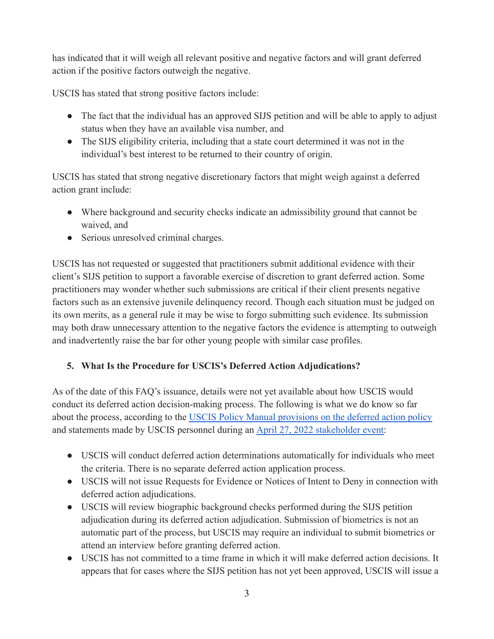has indicated that it will weigh all relevant positive and negative factors and will grant deferred action if the positive factors outweigh the negative.

USCIS has stated that strong positive factors include:

- The fact that the individual has an approved SIJS petition and will be able to apply to adjust status when they have an available visa number, and
- The SIJS eligibility criteria, including that a state court determined it was not in the individual's best interest to be returned to their country of origin.

USCIS has stated that strong negative discretionary factors that might weigh against a deferred action grant include:

- Where background and security checks indicate an admissibility ground that cannot be waived, and
- Serious unresolved criminal charges.

USCIS has not requested or suggested that practitioners submit additional evidence with their client's SIJS petition to support a favorable exercise of discretion to grant deferred action. Some practitioners may wonder whether such submissions are critical if their client presents negative factors such as an extensive juvenile delinquency record. Though each situation must be judged on its own merits, as a general rule it may be wise to forgo submitting such evidence. Its submission may both draw unnecessary attention to the negative factors the evidence is attempting to outweigh and inadvertently raise the bar for other young people with similar case profiles.

#### **5. What Is the Procedure for USCIS's Deferred Action Adjudications?**

As of the date of this FAQ's issuance, details were not yet available about how USCIS would conduct its deferred action decision-making process. The following is what we do know so far about the process, according to the USCIS Policy Manual [provisions on the deferred action policy](https://www.uscis.gov/policy-manual/volume-6-part-j-chapter-4) and statements made by USCIS personnel during an April [27, 2022 stakeholder event:](https://www.uscis.gov/outreach/notes-from-previous-engagements/special-immigrant-juvenile-policy-updates)

- USCIS will conduct deferred action determinations automatically for individuals who meet the criteria. There is no separate deferred action application process.
- USCIS will not issue Requests for Evidence or Notices of Intent to Deny in connection with deferred action adjudications.
- USCIS will review biographic background checks performed during the SIJS petition adjudication during its deferred action adjudication. Submission of biometrics is not an automatic part of the process, but USCIS may require an individual to submit biometrics or attend an interview before granting deferred action.
- USCIS has not committed to a time frame in which it will make deferred action decisions. It appears that for cases where the SIJS petition has not yet been approved, USCIS will issue a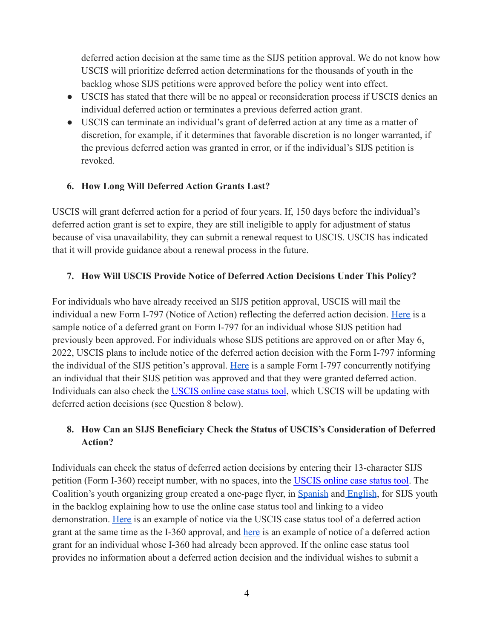deferred action decision at the same time as the SIJS petition approval. We do not know how USCIS will prioritize deferred action determinations for the thousands of youth in the backlog whose SIJS petitions were approved before the policy went into effect.

- USCIS has stated that there will be no appeal or reconsideration process if USCIS denies an individual deferred action or terminates a previous deferred action grant.
- USCIS can terminate an individual's grant of deferred action at any time as a matter of discretion, for example, if it determines that favorable discretion is no longer warranted, if the previous deferred action was granted in error, or if the individual's SIJS petition is revoked.

#### **6. How Long Will Deferred Action Grants Last?**

USCIS will grant deferred action for a period of four years. If, 150 days before the individual's deferred action grant is set to expire, they are still ineligible to apply for adjustment of status because of visa unavailability, they can submit a renewal request to USCIS. USCIS has indicated that it will provide guidance about a renewal process in the future.

#### **7. How Will USCIS Provide Notice of Deferred Action Decisions Under This Policy?**

For individuals who have already received an SIJS petition approval, USCIS will mail the individual a new Form I-797 (Notice of Action) reflecting the deferred action decision. [Here](https://nipnlg.org/PDFs/2022_23May_Sample-SIJS-DA-Notice.pdf) is a sample notice of a deferred grant on Form I-797 for an individual whose SIJS petition had previously been approved. For individuals whose SIJS petitions are approved on or after May 6, 2022, USCIS plans to include notice of the deferred action decision with the Form I-797 informing the individual of the SIJS petition's approval. [Here](https://nipnlg.org/PDFs/2022_23May_Sample-SIJS-I360-DA-Notice.pdf) is a sample Form I-797 concurrently notifying an individual that their SIJS petition was approved and that they were granted deferred action. Individuals can also check the [USCIS online case status](https://egov.uscis.gov/casestatus/landing.do) tool, which USCIS will be updating with deferred action decisions (see Question 8 below).

#### **8. How Can an SIJS Beneficiary Check the Status of USCIS's Consideration of Deferred Action?**

Individuals can check the status of deferred action decisions by entering their 13-character SIJS petition (Form I-360) receipt number, with no spaces, into the [USCIS online case status tool.](https://egov.uscis.gov/casestatus/landing.do) The Coalition's youth organizing group created a one-page flyer, in [Spanish](https://nipnlg.org/PDFs/2022_23May_Como-Revisar-Estatus.pdf) and [English](https://nipnlg.org/PDFs/2022_23May_Check-Status-Online.pdf), for SIJS youth in the backlog explaining how to use the online case status tool and linking to a video demonstration. [Here](https://nipnlg.org/PDFS/deferred-action-screenshot.png) is an example of notice via the USCIS case status tool of a deferred action grant at the same time as the I-360 approval, and [here](https://nipnlg.org/PDFs/2022_23May-Case-Status-DA-Notice.jpg) is an example of notice of a deferred action grant for an individual whose I-360 had already been approved. If the online case status tool provides no information about a deferred action decision and the individual wishes to submit a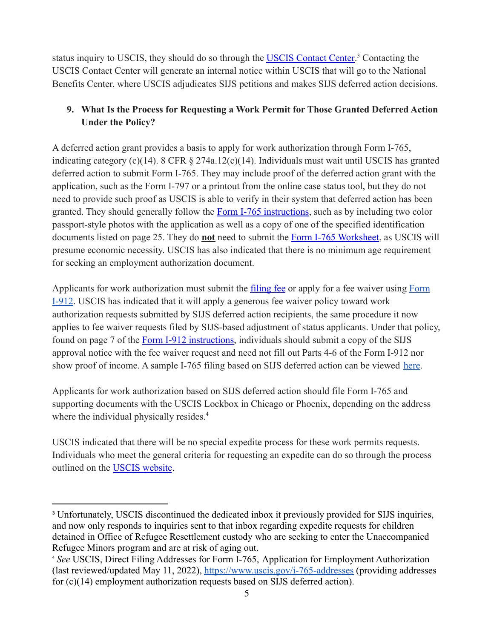status inquiry to USCIS, they should do so through the **USCIS Contact Center**.<sup>3</sup> Contacting the USCIS Contact Center will generate an internal notice within USCIS that will go to the National Benefits Center, where USCIS adjudicates SIJS petitions and makes SIJS deferred action decisions.

### **9. What Is the Process for Requesting a Work Permit for Those Granted Deferred Action Under the Policy?**

A deferred action grant provides a basis to apply for work authorization through Form I-765, indicating category (c)(14). 8 CFR § 274a.12(c)(14). Individuals must wait until USCIS has granted deferred action to submit Form I-765. They may include proof of the deferred action grant with the application, such as the Form I-797 or a printout from the online case status tool, but they do not need to provide such proof as USCIS is able to verify in their system that deferred action has been granted. They should generally follow the Form I-765 [instructions](https://www.uscis.gov/sites/default/files/document/forms/i-765instr.pdf), such as by including two color passport-style photos with the application as well as a copy of one of the specified identification documents listed on page 25. They do **not** need to submit the [Form I-765 Worksheet](https://www.uscis.gov/sites/default/files/document/forms/i-765ws.pdf), as USCIS will presume economic necessity. USCIS has also indicated that there is no minimum age requirement for seeking an employment authorization document.

Applicants for work authorization must submit the [filing fee](https://www.uscis.gov/i-765) or apply for a fee waiver using [Form](https://www.uscis.gov/sites/default/files/document/forms/i-912.pdf) [I-912.](https://www.uscis.gov/sites/default/files/document/forms/i-912.pdf) USCIS has indicated that it will apply a generous fee waiver policy toward work authorization requests submitted by SIJS deferred action recipients, the same procedure it now applies to fee waiver requests filed by SIJS-based adjustment of status applicants. Under that policy, found on page 7 of the [Form I-912 instructions](https://www.uscis.gov/sites/default/files/document/forms/i-912instr.pdf), individuals should submit a copy of the SIJS approval notice with the fee waiver request and need not fill out Parts 4-6 of the Form I-912 nor show proof of income. A sample I-765 filing based on SIJS deferred action can be viewed [here.](https://nipnlg.org/PDFS/sample-SIJS-DAI765-packet.pdf)

Applicants for work authorization based on SIJS deferred action should file Form I-765 and supporting documents with the USCIS Lockbox in Chicago or Phoenix, depending on the address where the individual physically resides.<sup>4</sup>

USCIS indicated that there will be no special expedite process for these work permits requests. Individuals who meet the general criteria for requesting an expedite can do so through the process outlined on the [USCIS website](https://www.uscis.gov/forms/filing-guidance/how-to-make-an-expedite-request).

<sup>3</sup> Unfortunately, USCIS discontinued the dedicated inbox it previously provided for SIJS inquiries, and now only responds to inquiries sent to that inbox regarding expedite requests for children detained in Office of Refugee Resettlement custody who are seeking to enter the Unaccompanied Refugee Minors program and are at risk of aging out.

<sup>4</sup> *See* USCIS, Direct Filing Addresses for Form I-765, Application for Employment Authorization (last reviewed/updated May 11, 2022), <https://www.uscis.gov/i-765-addresses> (providing addresses for (c)(14) employment authorization requests based on SIJS deferred action).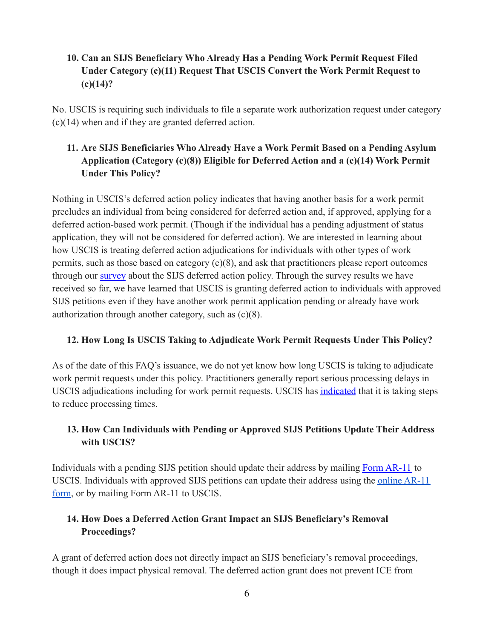### **10. Can an SIJS Beneficiary Who Already Has a Pending Work Permit Request Filed Under Category (c)(11) Request That USCIS Convert the Work Permit Request to (c)(14)?**

No. USCIS is requiring such individuals to file a separate work authorization request under category (c)(14) when and if they are granted deferred action.

### **11. Are SIJS Beneficiaries Who Already Have a Work Permit Based on a Pending Asylum Application (Category (c)(8)) Eligible for Deferred Action and a (c)(14) Work Permit Under This Policy?**

Nothing in USCIS's deferred action policy indicates that having another basis for a work permit precludes an individual from being considered for deferred action and, if approved, applying for a deferred action-based work permit. (Though if the individual has a pending adjustment of status application, they will not be considered for deferred action). We are interested in learning about how USCIS is treating deferred action adjudications for individuals with other types of work permits, such as those based on category (c)(8), and ask that practitioners please report outcomes through our [survey](https://docs.google.com/forms/d/e/1FAIpQLScdZqnX4otqpfXFKvAFxqJGuwmEK0HESNIItxsIpCo9_mCtZw/viewform) about the SIJS deferred action policy. Through the survey results we have received so far, we have learned that USCIS is granting deferred action to individuals with approved SIJS petitions even if they have another work permit application pending or already have work authorization through another category, such as (c)(8).

#### **12. How Long Is USCIS Taking to Adjudicate Work Permit Requests Under This Policy?**

As of the date of this FAQ's issuance, we do not yet know how long USCIS is taking to adjudicate work permit requests under this policy. Practitioners generally report serious processing delays in USCIS adjudications including for work permit requests. USCIS has [indicated](https://www.uscis.gov/newsroom/news-releases/uscis-announces-new-actions-to-reduce-backlogs-expand-premium-processing-and-provide-relief-to-work) that it is taking steps to reduce processing times.

#### **13. How Can Individuals with Pending or Approved SIJS Petitions Update Their Address with USCIS?**

Individuals with a pending SIJS petition should update their address by mailing [Form AR-11](https://www.uscis.gov/ar-11) to USCIS. Individuals with approved SIJS petitions can update their address using the [online AR-11](https://egov.uscis.gov/coa/displayCOAForm.do) [form](https://egov.uscis.gov/coa/displayCOAForm.do), or by mailing Form AR-11 to USCIS.

#### **14. How Does a Deferred Action Grant Impact an SIJS Beneficiary's Removal Proceedings?**

A grant of deferred action does not directly impact an SIJS beneficiary's removal proceedings, though it does impact physical removal. The deferred action grant does not prevent ICE from